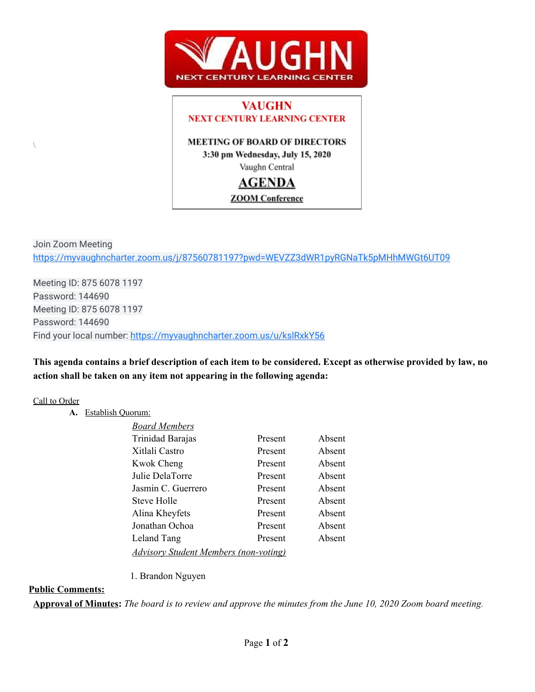

# **VAUGHN NEXT CENTURY LEARNING CENTER**

## **MEETING OF BOARD OF DIRECTORS**

3:30 pm Wednesday, July 15, 2020

Vaughn Central

## **AGENDA**

## **ZOOM** Conference

Join Zoom Meeting <https://myvaughncharter.zoom.us/j/87560781197?pwd=WEVZZ3dWR1pyRGNaTk5pMHhMWGt6UT09>

Meeting ID: 875 6078 1197 Password: 144690 Meeting ID: 875 6078 1197 Password: 144690 Find your local number:<https://myvaughncharter.zoom.us/u/kslRxkY56>

This agenda contains a brief description of each item to be considered. Except as otherwise provided by law, no **action shall be taken on any item not appearing in the following agenda:**

## Call to Order

 $\setminus$ 

**A.** Establish Quorum:

| <b>Board Members</b>                         |         |        |
|----------------------------------------------|---------|--------|
| Trinidad Barajas                             | Present | Absent |
| Xitlali Castro                               | Present | Absent |
| <b>Kwok Cheng</b>                            | Present | Absent |
| Julie DelaTorre                              | Present | Absent |
| Jasmin C. Guerrero                           | Present | Absent |
| Steve Holle                                  | Present | Absent |
| Alina Kheyfets                               | Present | Absent |
| Jonathan Ochoa                               | Present | Absent |
| Leland Tang                                  | Present | Absent |
| <b>Advisory Student Members (non-voting)</b> |         |        |

### 1. Brandon Nguyen

## **Public Comments:**

**Approval of Minutes:** The board is to review and approve the minutes from the June 10, 2020 Zoom board meeting.